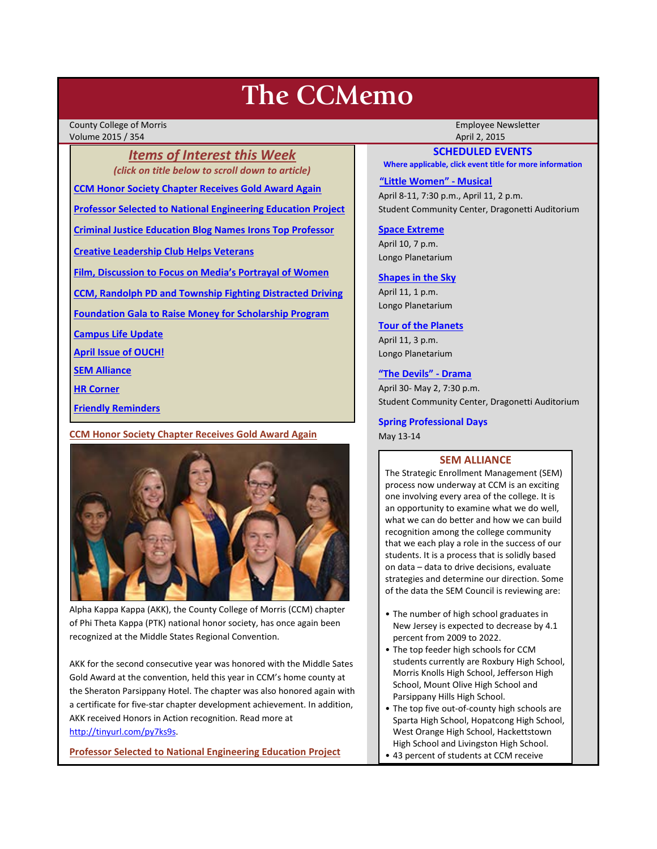# **The CCMemo**

County College of Morris Employee Newsletter Volume 2015 / 354 April 2, 2015

*Items of Interest this Week (click on title below to scroll down to article)*

**[CCM Honor Society Chapter Receives Gold Award Again](#page-0-0)**

**[Professor Selected to National Engineering Education Project](#page-0-1)** 

**[Criminal Justice Education Blog Names Irons Top Professor](#page-1-0)**

**[Creative Leadership Club Helps Veterans](#page-1-1)**

**[Film, Discussion to Focus on Media's Portrayal of Women](#page-2-0)**

**[CCM, Randolph PD and Township Fighting Distracted Driving](#page-2-1)**

**[Foundation Gala to Raise Money for Scholarship Program](#page-2-2)**

**[Campus Life Update](#page-3-0)**

**[April Issue of OUCH!](#page-3-1)**

**[SEM Alliance](#page-0-2)**

**[HR Corner](#page-3-2)**

**[Friendly Reminders](#page-1-2)**

### <span id="page-0-0"></span>**CCM Honor Society Chapter Receives Gold Award Again**



Alpha Kappa Kappa (AKK), the County College of Morris (CCM) chapter of Phi Theta Kappa (PTK) national honor society, has once again been recognized at the Middle States Regional Convention.

AKK for the second consecutive year was honored with the Middle Sates Gold Award at the convention, held this year in CCM's home county at the Sheraton Parsippany Hotel. The chapter was also honored again with a certificate for five-star chapter development achievement. In addition, AKK received Honors in Action recognition. Read more at [http://tinyurl.com/py7ks9s.](http://tinyurl.com/py7ks9s)

<span id="page-0-1"></span>**Professor Selected to National Engineering Education Project** 

# **SCHEDULED EVENTS**

**Where applicable, click event title for more information**

#### **["Little Women" -](http://www.ccm.edu/newsEvents/eventDetails.aspx?Channel=/Channels/Sitewide&WorkflowItemID=029a637e-615b-449c-8bcb-398ef284b5d6) Musical**

April 8-11, 7:30 p.m., April 11, 2 p.m. Student Community Center, Dragonetti Auditorium

**[Space Extreme](http://www.ccm.edu/newsEvents/eventDetails.aspx?Channel=/Channels/Sitewide&WorkflowItemID=1874a4b0-0bcb-4ed1-a29e-7b4f8d25e45d)**

April 10, 7 p.m. Longo Planetarium

#### **[Shapes in the Sky](http://www.ccm.edu/newsEvents/eventDetails.aspx?Channel=/Channels/Sitewide&WorkflowItemID=1922c928-86d3-4e75-b6a2-fd618033989c)**

April 11, 1 p.m. Longo Planetarium

#### **[Tour of the Planets](http://www.ccm.edu/newsEvents/eventDetails.aspx?Channel=/Channels/Sitewide&WorkflowItemID=5834aa20-68ba-4fa2-a3ac-75b2311ba441)**

April 11, 3 p.m. Longo Planetarium

### **["The Devils" -](http://www.ccm.edu/newsEvents/eventDetails.aspx?Channel=/Channels/Sitewide&WorkflowItemID=8dd88758-b234-42f0-abf7-34958b6a6635) Drama**

April 30- May 2, 7:30 p.m. Student Community Center, Dragonetti Auditorium

### **Spring Professional Days**

May 13-14

### **SEM ALLIANCE**

<span id="page-0-2"></span>The Strategic Enrollment Management (SEM) process now underway at CCM is an exciting one involving every area of the college. It is an opportunity to examine what we do well, what we can do better and how we can build recognition among the college community that we each play a role in the success of our students. It is a process that is solidly based on data – data to drive decisions, evaluate strategies and determine our direction. Some of the data the SEM Council is reviewing are:

- The number of high school graduates in New Jersey is expected to decrease by 4.1 percent from 2009 to 2022.
- The top feeder high schools for CCM students currently are Roxbury High School, Morris Knolls High School, Jefferson High School, Mount Olive High School and Parsippany Hills High School.
- The top five out-of-county high schools are Sparta High School, Hopatcong High School, West Orange High School, Hackettstown High School and Livingston High School.
- 43 percent of students at CCM receive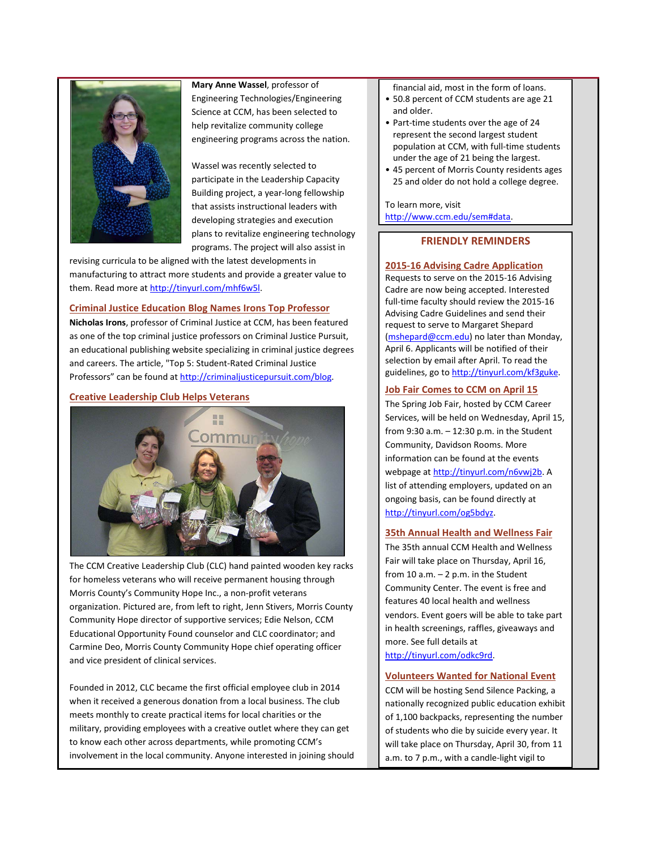

**Mary Anne Wassel**, professor of Engineering Technologies/Engineering Science at CCM, has been selected to help revitalize community college engineering programs across the nation.

Wassel was recently selected to participate in the Leadership Capacity Building project, a year-long fellowship that assists instructional leaders with developing strategies and execution plans to revitalize engineering technology programs. The project will also assist in

revising curricula to be aligned with the latest developments in manufacturing to attract more students and provide a greater value to them. Read more at http://tinyurl.com/mhf6w5l.

# <span id="page-1-0"></span>**Criminal Justice Education Blog Names Irons Top Professor**

**Nicholas Irons**, professor of Criminal Justice at CCM, has been featured as one of the top criminal justice professors on Criminal Justice Pursuit, an educational publishing website specializing in criminal justice degrees and careers. The article, "Top 5: Student-Rated Criminal Justice Professors" can be found at [http://criminaljusticepursuit.com/blog.](http://criminaljusticepursuit.com/blog)

## <span id="page-1-1"></span>**Creative Leadership Club Helps Veterans**



The CCM Creative Leadership Club (CLC) hand painted wooden key racks for homeless veterans who will receive permanent housing through Morris County's Community Hope Inc., a non-profit veterans organization. Pictured are, from left to right, Jenn Stivers, Morris County Community Hope director of supportive services; Edie Nelson, CCM Educational Opportunity Found counselor and CLC coordinator; and Carmine Deo, Morris County Community Hope chief operating officer and vice president of clinical services.

Founded in 2012, CLC became the first official employee club in 2014 when it received a generous donation from a local business. The club meets monthly to create practical items for local charities or the military, providing employees with a creative outlet where they can get to know each other across departments, while promoting CCM's involvement in the local community. Anyone interested in joining should

- financial aid, most in the form of loans.
- 50.8 percent of CCM students are age 21 and older.
- Part-time students over the age of 24 represent the second largest student population at CCM, with full-time students under the age of 21 being the largest.
- 45 percent of Morris County residents ages 25 and older do not hold a college degree.

To learn more, visit [http://www.ccm.edu/sem#data.](http://www.ccm.edu/sem%23data)

# **FRIENDLY REMINDERS**

## <span id="page-1-2"></span>**2015-16 Advising Cadre Application**

Requests to serve on the 2015-16 Advising Cadre are now being accepted. Interested full-time faculty should review the 2015-16 Advising Cadre Guidelines and send their request to serve to Margaret Shepard [\(mshepard@ccm.edu\)](mailto:mshepard@ccm.edu) no later than Monday, April 6. Applicants will be notified of their selection by email after April. To read the guidelines, go t[o http://tinyurl.com/kf3guke.](http://tinyurl.com/kf3guke)

# **Job Fair Comes to CCM on April 15**

The Spring Job Fair, hosted by CCM Career Services, will be held on Wednesday, April 15, from 9:30 a.m. – 12:30 p.m. in the Student Community, Davidson Rooms. More information can be found at the events webpage at [http://tinyurl.com/n6vwj2b.](http://tinyurl.com/n6vwj2b) A list of attending employers, updated on an ongoing basis, can be found directly at [http://tinyurl.com/og5bdyz.](http://tinyurl.com/og5bdyz)

## **35th Annual Health and Wellness Fair**

The 35th annual CCM Health and Wellness Fair will take place on Thursday, April 16, from  $10$  a.m.  $-2$  p.m. in the Student Community Center. The event is free and features 40 local health and wellness vendors. Event goers will be able to take part in health screenings, raffles, giveaways and more. See full details at [http://tinyurl.com/odkc9rd.](http://tinyurl.com/odkc9rd)

## **Volunteers Wanted for National Event**

CCM will be hosting Send Silence Packing, a nationally recognized public education exhibit of 1,100 backpacks, representing the number of students who die by suicide every year. It will take place on Thursday, April 30, from 11 a.m. to 7 p.m., with a candle-light vigil to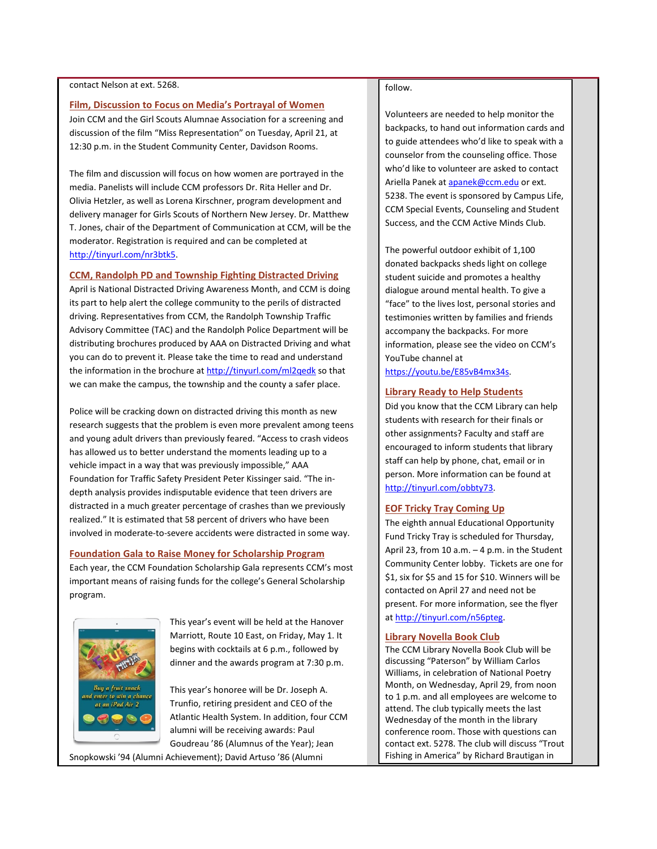#### contact Nelson at ext. 5268.

#### <span id="page-2-0"></span>**Film, Discussion to Focus on Media's Portrayal of Women**

Join CCM and the Girl Scouts Alumnae Association for a screening and discussion of the film "Miss Representation" on Tuesday, April 21, at 12:30 p.m. in the Student Community Center, Davidson Rooms.

The film and discussion will focus on how women are portrayed in the media. Panelists will include CCM professors Dr. Rita Heller and Dr. Olivia Hetzler, as well as Lorena Kirschner, program development and delivery manager for Girls Scouts of Northern New Jersey. Dr. Matthew T. Jones, chair of the Department of Communication at CCM, will be the moderator. Registration is required and can be completed at [http://tinyurl.com/nr3btk5.](http://tinyurl.com/nr3btk5)

#### <span id="page-2-1"></span>**CCM, Randolph PD and Township Fighting Distracted Driving**

April is National Distracted Driving Awareness Month, and CCM is doing its part to help alert the college community to the perils of distracted driving. Representatives from CCM, the Randolph Township Traffic Advisory Committee (TAC) and the Randolph Police Department will be distributing brochures produced by AAA on Distracted Driving and what you can do to prevent it. Please take the time to read and understand the information in the brochure a[t http://tinyurl.com/ml2qedk](http://tinyurl.com/ml2qedk) so that we can make the campus, the township and the county a safer place.

Police will be cracking down on distracted driving this month as new research suggests that the problem is even more prevalent among teens and young adult drivers than previously feared. "Access to crash videos has allowed us to better understand the moments leading up to a vehicle impact in a way that was previously impossible," AAA Foundation for Traffic Safety President Peter Kissinger said. "The indepth analysis provides indisputable evidence that teen drivers are distracted in a much greater percentage of crashes than we previously realized." It is estimated that 58 percent of drivers who have been involved in moderate-to-severe accidents were distracted in some way.

#### <span id="page-2-2"></span>**Foundation Gala to Raise Money for Scholarship Program**

Each year, the CCM Foundation Scholarship Gala represents CCM's most important means of raising funds for the college's General Scholarship program.



This year's event will be held at the Hanover Marriott, Route 10 East, on Friday, May 1. It begins with cocktails at 6 p.m., followed by dinner and the awards program at 7:30 p.m.

This year's honoree will be Dr. Joseph A. Trunfio, retiring president and CEO of the Atlantic Health System. In addition, four CCM alumni will be receiving awards: Paul Goudreau '86 (Alumnus of the Year); Jean

#### Snopkowski '94 (Alumni Achievement); David Artuso '86 (Alumni

# follow.

Volunteers are needed to help monitor the backpacks, to hand out information cards and to guide attendees who'd like to speak with a counselor from the counseling office. Those who'd like to volunteer are asked to contact Ariella Panek a[t apanek@ccm.edu](mailto:apanek@ccm.edu) or ext. 5238. The event is sponsored by Campus Life, CCM Special Events, Counseling and Student Success, and the CCM Active Minds Club.

The powerful outdoor exhibit of 1,100 donated backpacks sheds light on college student suicide and promotes a healthy dialogue around mental health. To give a "face" to the lives lost, personal stories and testimonies written by families and friends accompany the backpacks. For more information, please see the video on CCM's YouTube channel at

[https://youtu.be/E85vB4mx34s.](https://youtu.be/E85vB4mx34s) 

#### **Library Ready to Help Students**

Did you know that the CCM Library can help students with research for their finals or other assignments? Faculty and staff are encouraged to inform students that library staff can help by phone, chat, email or in person. More information can be found at [http://tinyurl.com/obbty73.](http://tinyurl.com/obbty73) 

#### **EOF Tricky Tray Coming Up**

The eighth annual Educational Opportunity Fund Tricky Tray is scheduled for Thursday, April 23, from 10 a.m.  $-4$  p.m. in the Student Community Center lobby. Tickets are one for \$1, six for \$5 and 15 for \$10. Winners will be contacted on April 27 and need not be present. For more information, see the flyer a[t http://tinyurl.com/n56pteg.](http://tinyurl.com/n56pteg)

#### **Library Novella Book Club**

The CCM Library Novella Book Club will be discussing "Paterson" by William Carlos Williams, in celebration of National Poetry Month, on Wednesday, April 29, from noon to 1 p.m. and all employees are welcome to attend. The club typically meets the last Wednesday of the month in the library conference room. Those with questions can contact ext. 5278. The club will discuss "Trout Fishing in America" by Richard Brautigan in